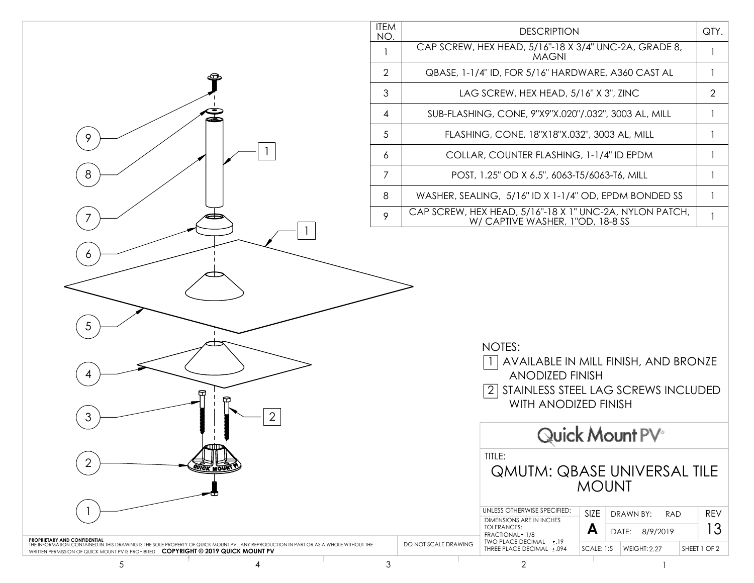